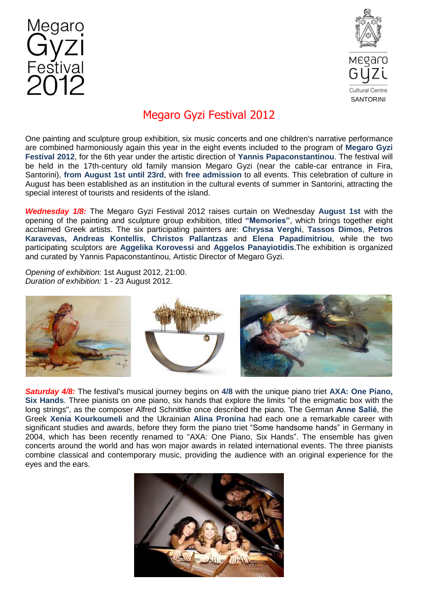



## Megaro Gyzi Festival 2012

One painting and sculpture group exhibition, six music concerts and one children's narrative performance are combined harmoniously again this year in the eight events included to the program of **Megaro Gyzi Festival 2012**, for the 6th year under the artistic direction of **Yannis Papaconstantinou**. The festival will be held in the 17th-century old family mansion Megaro Gyzi (near the cable-car entrance in Fira, Santorini), **from August 1st until 23rd**, with **free admission** to all events. This celebration of culture in August has been established as an institution in the cultural events of summer in Santorini, attracting the special interest of tourists and residents of the island.

*Wednesday 1/8:* The Megaro Gyzi Festival 2012 raises curtain on Wednesday **August 1st** with the opening of the painting and sculpture group exhibition, titled **"Memories"**, which brings together eight acclaimed Greek artists. The six participating painters are: **Chryssa Verghi**, **Tassos Dimos**, **Petros Karavevas, Andreas Kontellis**, **Christos Pallantzas** and **Elena Papadimitriou**, while the two participating sculptors are **Aggelika Korovessi** and **Aggelos Panayiotidis**.The exhibition is organized and curated by Yannis Papaconstantinou, Artistic Director of Megaro Gyzi.

*Opening of exhibition:* 1st August 2012, 21:00. *Duration of exhibition:* 1 - 23 August 2012.



*Saturday 4/8:* The festival's musical journey begins on **4/8** with the unique piano triet **AXA: One Piano, Six Hands**. Three pianists on one piano, six hands that explore the limits "of the enigmatic box with the long strings", as the composer Alfred Schnittke once described the piano. The German **Anne Salié**, the Greek **Xenia Kourkoumeli** and the Ukrainian **Alina Pronina** had each one a remarkable career with significant studies and awards, before they form the piano triet "Some handsome hands" in Germany in 2004, which has been recently renamed to "AXA: One Piano, Six Hands". The ensemble has given concerts around the world and has won major awards in related international events. The three pianists combine classical and contemporary music, providing the audience with an original experience for the eyes and the ears.

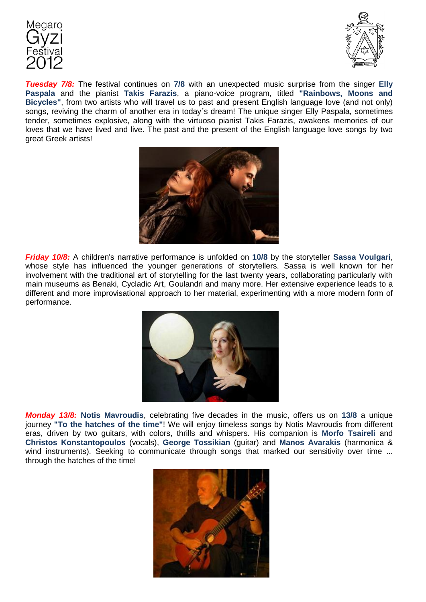



*Tuesday 7/8:* The festival continues on **7/8** with an unexpected music surprise from the singer **Elly Paspala** and the pianist **Takis Farazis**, a piano-voice program, titled **"Rainbows, Moons and Bicycles"**, from two artists who will travel us to past and present English language love (and not only) songs, reviving the charm of another era in today΄s dream! The unique singer Elly Paspala, sometimes tender, sometimes explosive, along with the virtuoso pianist Takis Farazis, awakens memories of our loves that we have lived and live. The past and the present of the English language love songs by two great Greek artists!



*Friday 10/8:* A children's narrative performance is unfolded on **10/8** by the storyteller **Sassa Voulgari**, whose style has influenced the younger generations of storytellers. Sassa is well known for her involvement with the traditional art of storytelling for the last twenty years, collaborating particularly with main museums as Benaki, Cycladic Art, Goulandri and many more. Her extensive experience leads to a different and more improvisational approach to her material, experimenting with a more modern form of performance.



*Monday 13/8:* **Notis Mavroudis**, celebrating five decades in the music, offers us on **13/8** a unique journey **"To the hatches of the time"**! We will enjoy timeless songs by Notis Mavroudis from different eras, driven by two guitars, with colors, thrills and whispers. His companion is **Morfo Tsaireli** and **Christos Konstantopoulos** (vocals), **George Tossikian** (guitar) and **Manos Avarakis** (harmonica & wind instruments). Seeking to communicate through songs that marked our sensitivity over time ... through the hatches of the time!

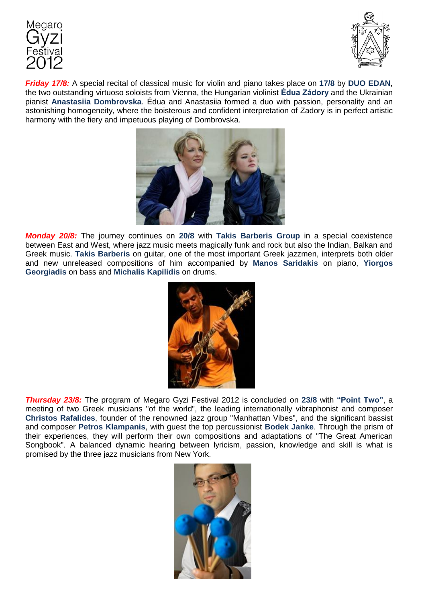



*Friday 17/8:* A special recital of classical music for violin and piano takes place on **17/8** by **DUO EDAN**, the two outstanding virtuoso soloists from Vienna, the Hungarian violinist **Édua Zádory** and the Ukrainian pianist **Anastasiia Dombrovska**. Édua and Anastasiia formed a duo with passion, personality and an astonishing homogeneity, where the boisterous and confident interpretation of Zadory is in perfect artistic harmony with the fiery and impetuous playing of Dombrovska.



*Monday 20/8:* The journey continues on **20/8** with **Takis Barberis Group** in a special coexistence between East and West, where jazz music meets magically funk and rock but also the Indian, Balkan and Greek music. **Takis Barberis** on guitar, one of the most important Greek jazzmen, interprets both older and new unreleased compositions of him accompanied by **Manos Saridakis** on piano, **Yiorgos Georgiadis** on bass and **Michalis Kapilidis** on drums.



*Thursday 23/8:* The program of Megaro Gyzi Festival 2012 is concluded on **23/8** with **"Point Two"**, a meeting of two Greek musicians "of the world", the leading internationally vibraphonist and composer **Christos Rafalides**, founder of the renowned jazz group "Manhattan Vibes", and the significant bassist and composer **Petros Klampanis**, with guest the top percussionist **Bodek Janke**. Through the prism of their experiences, they will perform their own compositions and adaptations of "The Great American Songbook". A balanced dynamic hearing between lyricism, passion, knowledge and skill is what is promised by the three jazz musicians from New York.